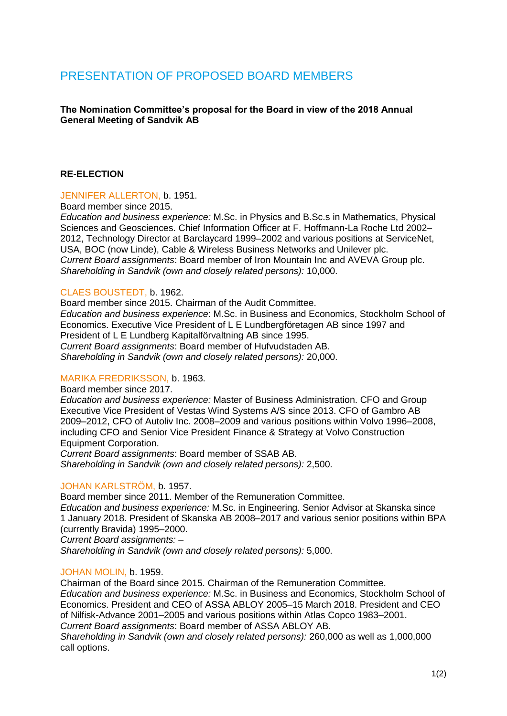# PRESENTATION OF PROPOSED BOARD MEMBERS

## **The Nomination Committee's proposal for the Board in view of the 2018 Annual General Meeting of Sandvik AB**

## **RE-ELECTION**

#### JENNIFER ALLERTON, b. 1951.

Board member since 2015.

*Education and business experience:* M.Sc. in Physics and B.Sc.s in Mathematics, Physical Sciences and Geosciences. Chief Information Officer at F. Hoffmann-La Roche Ltd 2002– 2012, Technology Director at Barclaycard 1999–2002 and various positions at ServiceNet, USA, BOC (now Linde), Cable & Wireless Business Networks and Unilever plc. *Current Board assignments*: Board member of Iron Mountain Inc and AVEVA Group plc. *Shareholding in Sandvik (own and closely related persons):* 10,000.

#### CLAES BOUSTEDT, b. 1962.

Board member since 2015. Chairman of the Audit Committee. *Education and business experience*: M.Sc. in Business and Economics, Stockholm School of Economics. Executive Vice President of L E Lundbergföretagen AB since 1997 and President of L E Lundberg Kapitalförvaltning AB since 1995. *Current Board assignments*: Board member of Hufvudstaden AB. *Shareholding in Sandvik (own and closely related persons):* 20,000.

## MARIKA FREDRIKSSON, b. 1963.

Board member since 2017.

*Education and business experience:* Master of Business Administration. CFO and Group Executive Vice President of Vestas Wind Systems A/S since 2013. CFO of Gambro AB 2009–2012, CFO of Autoliv Inc. 2008–2009 and various positions within Volvo 1996–2008, including CFO and Senior Vice President Finance & Strategy at Volvo Construction Equipment Corporation.

*Current Board assignments*: Board member of SSAB AB. *Shareholding in Sandvik (own and closely related persons):* 2,500.

#### JOHAN KARLSTRÖM, b. 1957.

Board member since 2011. Member of the Remuneration Committee.

*Education and business experience:* M.Sc. in Engineering. Senior Advisor at Skanska since 1 January 2018. President of Skanska AB 2008–2017 and various senior positions within BPA (currently Bravida) 1995–2000.

*Current Board assignments:* –

*Shareholding in Sandvik (own and closely related persons):* 5,000.

#### JOHAN MOLIN, b. 1959.

Chairman of the Board since 2015. Chairman of the Remuneration Committee. *Education and business experience:* M.Sc. in Business and Economics, Stockholm School of Economics. President and CEO of ASSA ABLOY 2005–15 March 2018. President and CEO of Nilfisk-Advance 2001–2005 and various positions within Atlas Copco 1983–2001. *Current Board assignments*: Board member of ASSA ABLOY AB.

*Shareholding in Sandvik (own and closely related persons):* 260,000 as well as 1,000,000 call options.